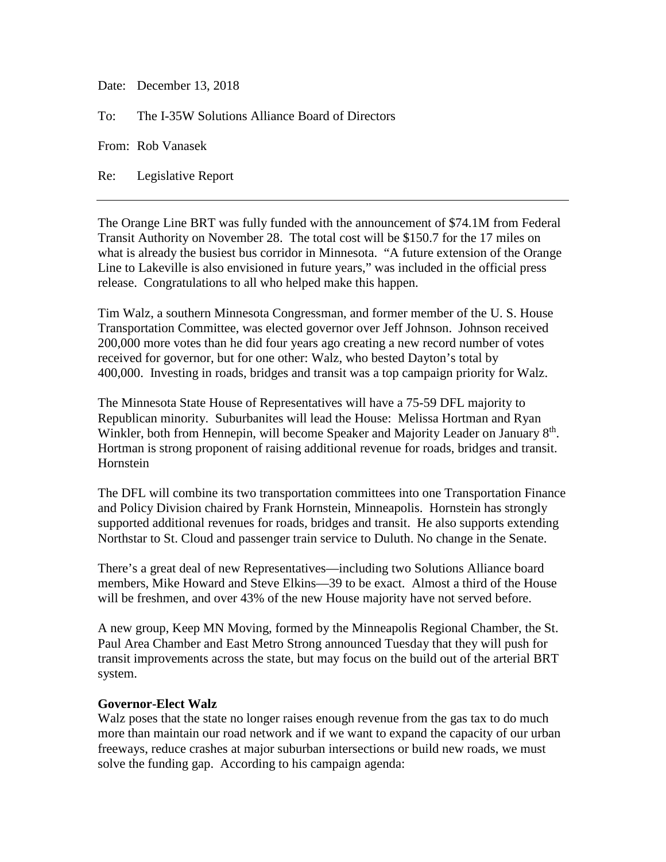Date: December 13, 2018

To: The I-35W Solutions Alliance Board of Directors

From: Rob Vanasek

Re: Legislative Report

The Orange Line BRT was fully funded with the announcement of \$74.1M from Federal Transit Authority on November 28. The total cost will be \$150.7 for the 17 miles on what is already the busiest bus corridor in Minnesota. "A future extension of the Orange Line to Lakeville is also envisioned in future years," was included in the official press release. Congratulations to all who helped make this happen.

Tim Walz, a southern Minnesota Congressman, and former member of the U. S. House Transportation Committee, was elected governor over Jeff Johnson. Johnson received 200,000 more votes than he did four years ago creating a new record number of votes received for governor, but for one other: Walz, who bested Dayton's total by 400,000. Investing in roads, bridges and transit was a top campaign priority for Walz.

The Minnesota State House of Representatives will have a 75-59 DFL majority to Republican minority. Suburbanites will lead the House: Melissa Hortman and Ryan Winkler, both from Hennepin, will become Speaker and Majority Leader on January 8<sup>th</sup>. Hortman is strong proponent of raising additional revenue for roads, bridges and transit. Hornstein

The DFL will combine its two transportation committees into one Transportation Finance and Policy Division chaired by Frank Hornstein, Minneapolis. Hornstein has strongly supported additional revenues for roads, bridges and transit. He also supports extending Northstar to St. Cloud and passenger train service to Duluth. No change in the Senate.

There's a great deal of new Representatives—including two Solutions Alliance board members, Mike Howard and Steve Elkins—39 to be exact. Almost a third of the House will be freshmen, and over 43% of the new House majority have not served before.

A new group, Keep MN Moving, formed by the Minneapolis Regional Chamber, the St. Paul Area Chamber and East Metro Strong announced Tuesday that they will push for transit improvements across the state, but may focus on the build out of the arterial BRT system.

## **Governor-Elect Walz**

Walz poses that the state no longer raises enough revenue from the gas tax to do much more than maintain our road network and if we want to expand the capacity of our urban freeways, reduce crashes at major suburban intersections or build new roads, we must solve the funding gap. According to his campaign agenda: